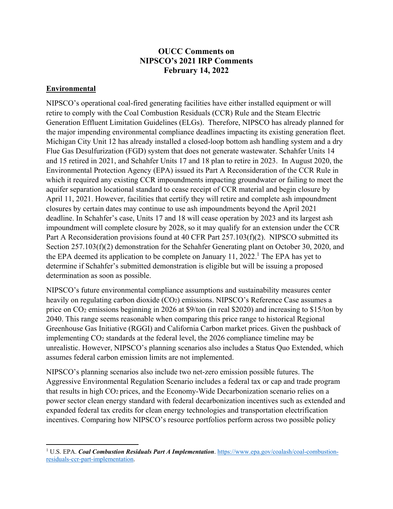## **OUCC Comments on NIPSCO's 2021 IRP Comments February 14, 2022**

## **Environmental**

NIPSCO's operational coal-fired generating facilities have either installed equipment or will retire to comply with the Coal Combustion Residuals (CCR) Rule and the Steam Electric Generation Effluent Limitation Guidelines (ELGs). Therefore, NIPSCO has already planned for the major impending environmental compliance deadlines impacting its existing generation fleet. Michigan City Unit 12 has already installed a closed-loop bottom ash handling system and a dry Flue Gas Desulfurization (FGD) system that does not generate wastewater. Schahfer Units 14 and 15 retired in 2021, and Schahfer Units 17 and 18 plan to retire in 2023. In August 2020, the Environmental Protection Agency (EPA) issued its Part A Reconsideration of the CCR Rule in which it required any existing CCR impoundments impacting groundwater or failing to meet the aquifer separation locational standard to cease receipt of CCR material and begin closure by April 11, 2021. However, facilities that certify they will retire and complete ash impoundment closures by certain dates may continue to use ash impoundments beyond the April 2021 deadline. In Schahfer's case, Units 17 and 18 will cease operation by 2023 and its largest ash impoundment will complete closure by 2028, so it may qualify for an extension under the CCR Part A Reconsideration provisions found at 40 CFR Part 257.103(f)(2). NIPSCO submitted its Section 257.103(f)(2) demonstration for the Schahfer Generating plant on October 30, 2020, and the EPA deemed its application to be complete on January 11, 2022.<sup>1</sup> The EPA has yet to determine if Schahfer's submitted demonstration is eligible but will be issuing a proposed determination as soon as possible.

NIPSCO's future environmental compliance assumptions and sustainability measures center heavily on regulating carbon dioxide (CO<sub>2</sub>) emissions. NIPSCO's Reference Case assumes a price on CO2 emissions beginning in 2026 at \$9/ton (in real \$2020) and increasing to \$15/ton by 2040. This range seems reasonable when comparing this price range to historical Regional Greenhouse Gas Initiative (RGGI) and California Carbon market prices. Given the pushback of implementing CO2 standards at the federal level, the 2026 compliance timeline may be unrealistic. However, NIPSCO's planning scenarios also includes a Status Quo Extended, which assumes federal carbon emission limits are not implemented.

NIPSCO's planning scenarios also include two net-zero emission possible futures. The Aggressive Environmental Regulation Scenario includes a federal tax or cap and trade program that results in high CO2 prices, and the Economy-Wide Decarbonization scenario relies on a power sector clean energy standard with federal decarbonization incentives such as extended and expanded federal tax credits for clean energy technologies and transportation electrification incentives. Comparing how NIPSCO's resource portfolios perform across two possible policy

<sup>&</sup>lt;sup>1</sup> U.S. EPA. *[Coal Combustion Residuals Part A Implementation](https://www.epa.gov/coalash/coal-combustion-residuals-ccr-part-implementation)*. https://www.epa.gov/coalash/coal-combustionresiduals-ccr-part-implementation.